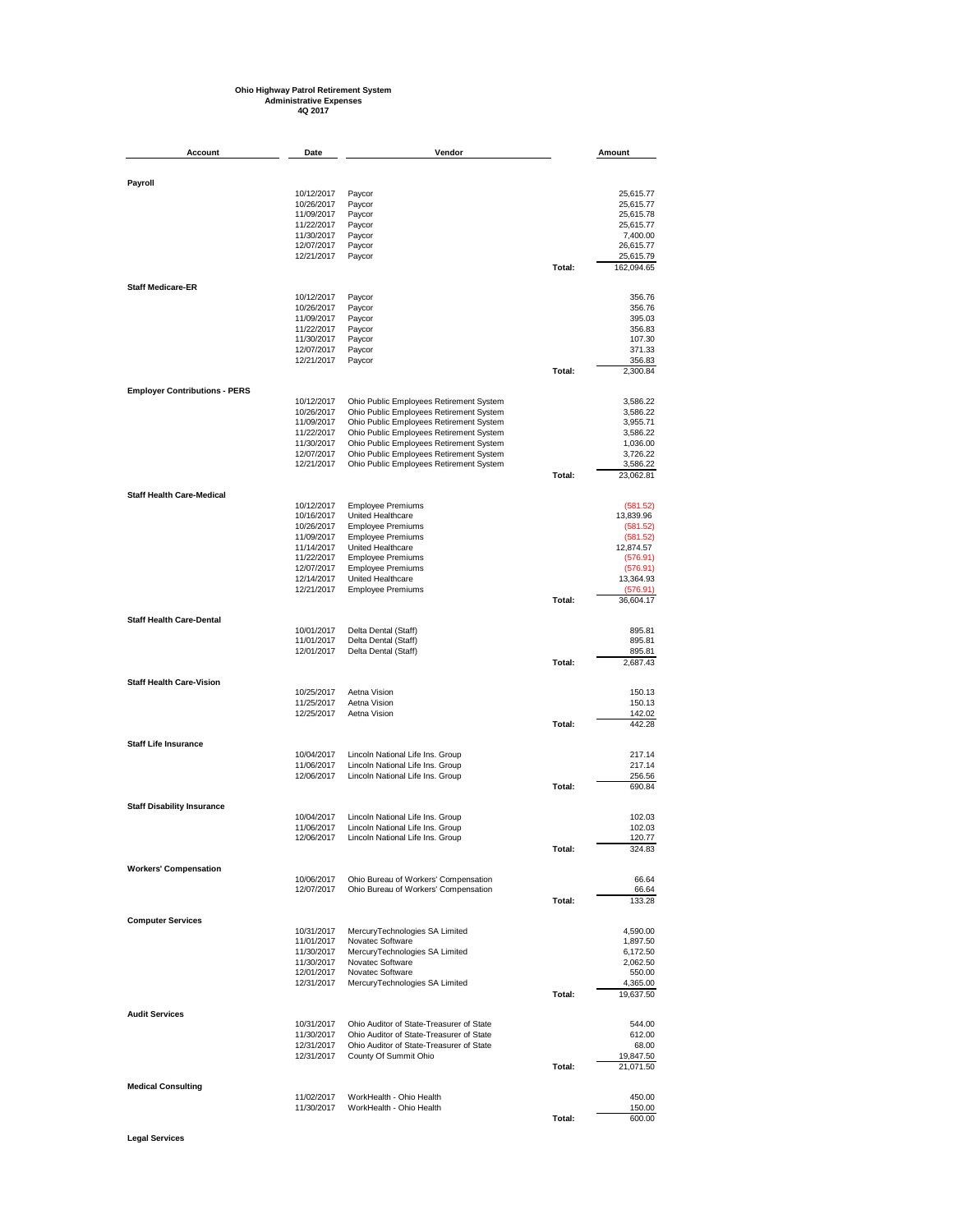## **Ohio Highway Patrol Retirement System Administrative Expenses 4Q 2017**

| Account                              | Date                     | Vendor                                                                               |        | Amount                 |
|--------------------------------------|--------------------------|--------------------------------------------------------------------------------------|--------|------------------------|
|                                      |                          |                                                                                      |        |                        |
| Payroll                              |                          |                                                                                      |        |                        |
|                                      | 10/12/2017<br>10/26/2017 | Paycor<br>Paycor                                                                     |        | 25,615.77<br>25,615.77 |
|                                      | 11/09/2017               | Paycor                                                                               |        | 25,615.78              |
|                                      | 11/22/2017               | Paycor                                                                               |        | 25,615.77              |
|                                      | 11/30/2017<br>12/07/2017 | Paycor<br>Paycor                                                                     |        | 7,400.00<br>26,615.77  |
|                                      | 12/21/2017               | Paycor                                                                               |        | 25,615.79              |
|                                      |                          |                                                                                      | Total: | 162,094.65             |
| <b>Staff Medicare-ER</b>             |                          |                                                                                      |        |                        |
|                                      | 10/12/2017<br>10/26/2017 | Paycor<br>Paycor                                                                     |        | 356.76<br>356.76       |
|                                      | 11/09/2017               | Paycor                                                                               |        | 395.03                 |
|                                      | 11/22/2017               | Paycor                                                                               |        | 356.83                 |
|                                      | 11/30/2017               | Paycor                                                                               |        | 107.30                 |
|                                      | 12/07/2017<br>12/21/2017 | Paycor<br>Paycor                                                                     |        | 371.33<br>356.83       |
|                                      |                          |                                                                                      | Total: | 2,300.84               |
| <b>Employer Contributions - PERS</b> |                          |                                                                                      |        |                        |
|                                      | 10/12/2017               | Ohio Public Employees Retirement System                                              |        | 3,586.22               |
|                                      | 10/26/2017<br>11/09/2017 | Ohio Public Employees Retirement System<br>Ohio Public Employees Retirement System   |        | 3,586.22<br>3,955.71   |
|                                      | 11/22/2017               | Ohio Public Employees Retirement System                                              |        | 3,586.22               |
|                                      | 11/30/2017               | Ohio Public Employees Retirement System                                              |        | 1,036.00               |
|                                      | 12/07/2017<br>12/21/2017 | Ohio Public Employees Retirement System<br>Ohio Public Employees Retirement System   |        | 3,726.22<br>3,586.22   |
|                                      |                          |                                                                                      | Total: | 23,062.81              |
| <b>Staff Health Care-Medical</b>     |                          |                                                                                      |        |                        |
|                                      | 10/12/2017               | <b>Employee Premiums</b>                                                             |        | (581.52)               |
|                                      | 10/16/2017<br>10/26/2017 | United Healthcare<br><b>Employee Premiums</b>                                        |        | 13,839.96<br>(581.52)  |
|                                      | 11/09/2017               | <b>Employee Premiums</b>                                                             |        | (581.52)               |
|                                      | 11/14/2017               | United Healthcare                                                                    |        | 12,874.57              |
|                                      | 11/22/2017<br>12/07/2017 | <b>Employee Premiums</b><br><b>Employee Premiums</b>                                 |        | (576.91)<br>(576.91)   |
|                                      | 12/14/2017               | United Healthcare                                                                    |        | 13,364.93              |
|                                      | 12/21/2017               | <b>Employee Premiums</b>                                                             |        | (576.91)               |
|                                      |                          |                                                                                      | Total: | 36,604.17              |
| <b>Staff Health Care-Dental</b>      | 10/01/2017               | Delta Dental (Staff)                                                                 |        | 895.81                 |
|                                      | 11/01/2017               | Delta Dental (Staff)                                                                 |        | 895.81                 |
|                                      | 12/01/2017               | Delta Dental (Staff)                                                                 | Total: | 895.81<br>2,687.43     |
| <b>Staff Health Care-Vision</b>      |                          |                                                                                      |        |                        |
|                                      | 10/25/2017               | Aetna Vision                                                                         |        | 150.13                 |
|                                      | 11/25/2017               | Aetna Vision                                                                         |        | 150.13                 |
|                                      | 12/25/2017               | Aetna Vision                                                                         | Total: | 142.02<br>442.28       |
| <b>Staff Life Insurance</b>          |                          |                                                                                      |        |                        |
|                                      | 10/04/2017               | Lincoln National Life Ins. Group                                                     |        | 217.14                 |
|                                      | 11/06/2017               | Lincoln National Life Ins. Group                                                     |        | 217.14                 |
|                                      | 12/06/2017               | Lincoln National Life Ins. Group                                                     | Total: | 256.56<br>690.84       |
| <b>Staff Disability Insurance</b>    |                          |                                                                                      |        |                        |
|                                      | 10/04/2017               | Lincoln National Life Ins. Group                                                     |        | 102.03                 |
|                                      | 11/06/2017               | Lincoln National Life Ins. Group                                                     |        | 102.03                 |
|                                      | 12/06/2017               | Lincoln National Life Ins. Group                                                     | Total: | 120.77<br>324.83       |
| <b>Workers' Compensation</b>         |                          |                                                                                      |        |                        |
|                                      | 10/06/2017               | Ohio Bureau of Workers' Compensation                                                 |        | 66.64                  |
|                                      | 12/07/2017               | Ohio Bureau of Workers' Compensation                                                 | Total: | 66.64<br>133.28        |
|                                      |                          |                                                                                      |        |                        |
| <b>Computer Services</b>             | 10/31/2017               | MercuryTechnologies SA Limited                                                       |        | 4,590.00               |
|                                      | 11/01/2017               | Novatec Software                                                                     |        | 1,897.50               |
|                                      | 11/30/2017               | MercuryTechnologies SA Limited                                                       |        | 6,172.50               |
|                                      | 11/30/2017<br>12/01/2017 | Novatec Software<br>Novatec Software                                                 |        | 2,062.50<br>550.00     |
|                                      | 12/31/2017               | MercuryTechnologies SA Limited                                                       |        | 4,365.00               |
|                                      |                          |                                                                                      | Total: | 19,637.50              |
| <b>Audit Services</b>                |                          |                                                                                      |        |                        |
|                                      | 10/31/2017<br>11/30/2017 | Ohio Auditor of State-Treasurer of State<br>Ohio Auditor of State-Treasurer of State |        | 544.00<br>612.00       |
|                                      | 12/31/2017               | Ohio Auditor of State-Treasurer of State                                             |        | 68.00                  |
|                                      | 12/31/2017               | County Of Summit Ohio                                                                |        | 19,847.50              |
|                                      |                          |                                                                                      | Total: | 21,071.50              |
| <b>Medical Consulting</b>            | 11/02/2017               | WorkHealth - Ohio Health                                                             |        | 450.00                 |
|                                      | 11/30/2017               | WorkHealth - Ohio Health                                                             |        | 150.00                 |
|                                      |                          |                                                                                      | Total: | 600.00                 |

**Legal Services**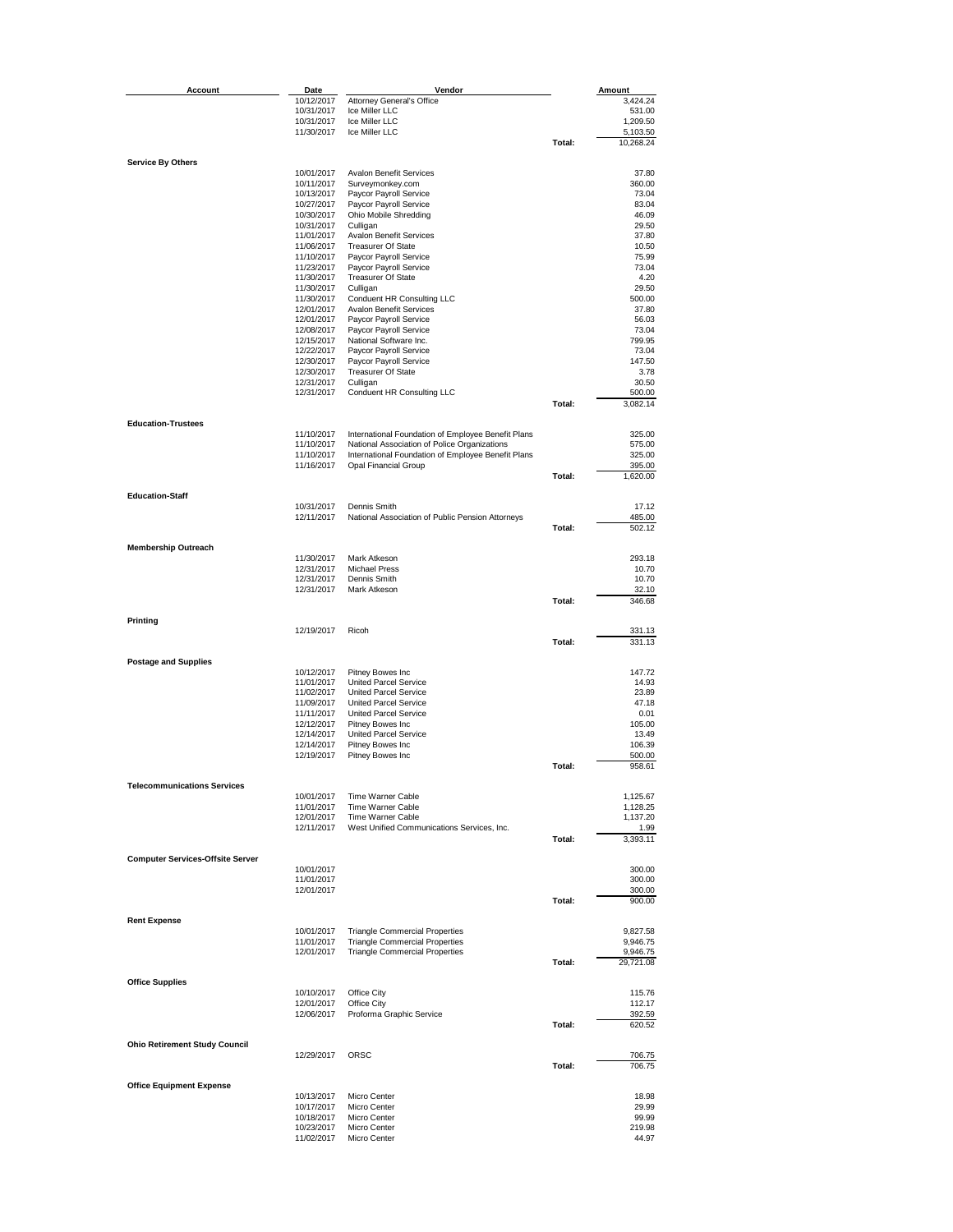| Account                                 | Date                     | Vendor                                             |        | Amount          |
|-----------------------------------------|--------------------------|----------------------------------------------------|--------|-----------------|
|                                         | 10/12/2017               | Attorney General's Office                          |        | 3,424.24        |
|                                         | 10/31/2017               | Ice Miller LLC                                     |        | 531.00          |
|                                         | 10/31/2017               | Ice Miller LLC                                     |        | 1,209.50        |
|                                         | 11/30/2017               | Ice Miller LLC                                     |        | 5,103.50        |
|                                         |                          |                                                    | Total: | 10,268.24       |
| <b>Service By Others</b>                |                          |                                                    |        |                 |
|                                         | 10/01/2017               | <b>Avalon Benefit Services</b>                     |        | 37.80           |
|                                         | 10/11/2017               | Surveymonkey.com                                   |        | 360.00          |
|                                         | 10/13/2017<br>10/27/2017 | Paycor Payroll Service<br>Paycor Payroll Service   |        | 73.04<br>83.04  |
|                                         | 10/30/2017               | Ohio Mobile Shredding                              |        | 46.09           |
|                                         | 10/31/2017               | Culligan                                           |        | 29.50           |
|                                         | 11/01/2017               | <b>Avalon Benefit Services</b>                     |        | 37.80           |
|                                         | 11/06/2017               | <b>Treasurer Of State</b>                          |        | 10.50           |
|                                         | 11/10/2017<br>11/23/2017 | Paycor Payroll Service<br>Paycor Payroll Service   |        | 75.99<br>73.04  |
|                                         | 11/30/2017               | <b>Treasurer Of State</b>                          |        | 4.20            |
|                                         | 11/30/2017               | Culligan                                           |        | 29.50           |
|                                         | 11/30/2017               | Conduent HR Consulting LLC                         |        | 500.00          |
|                                         | 12/01/2017               | <b>Avalon Benefit Services</b>                     |        | 37.80           |
|                                         | 12/01/2017               | Paycor Payroll Service                             |        | 56.03           |
|                                         | 12/08/2017               | Paycor Payroll Service                             |        | 73.04           |
|                                         | 12/15/2017               | National Software Inc.<br>Paycor Payroll Service   |        | 799.95          |
|                                         | 12/22/2017<br>12/30/2017 | Paycor Payroll Service                             |        | 73.04<br>147.50 |
|                                         | 12/30/2017               | <b>Treasurer Of State</b>                          |        | 3.78            |
|                                         | 12/31/2017               | Culligan                                           |        | 30.50           |
|                                         | 12/31/2017               | Conduent HR Consulting LLC                         |        | 500.00          |
|                                         |                          |                                                    | Total: | 3,082.14        |
| <b>Education-Trustees</b>               |                          |                                                    |        |                 |
|                                         | 11/10/2017               | International Foundation of Employee Benefit Plans |        | 325.00          |
|                                         | 11/10/2017               | National Association of Police Organizations       |        | 575.00          |
|                                         | 11/10/2017               | International Foundation of Employee Benefit Plans |        | 325.00          |
|                                         | 11/16/2017               | Opal Financial Group                               |        | 395.00          |
|                                         |                          |                                                    | Total: | 1,620.00        |
| <b>Education-Staff</b>                  |                          |                                                    |        |                 |
|                                         | 10/31/2017               | Dennis Smith                                       |        | 17.12           |
|                                         | 12/11/2017               | National Association of Public Pension Attorneys   |        | 485.00          |
|                                         |                          |                                                    | Total: | 502.12          |
| <b>Membership Outreach</b>              |                          |                                                    |        |                 |
|                                         | 11/30/2017               | Mark Atkeson                                       |        | 293.18          |
|                                         | 12/31/2017               | <b>Michael Press</b>                               |        | 10.70           |
|                                         | 12/31/2017               | Dennis Smith                                       |        | 10.70           |
|                                         | 12/31/2017               | Mark Atkeson                                       |        | 32.10           |
|                                         |                          |                                                    | Total: | 346.68          |
| Printing                                |                          |                                                    |        |                 |
|                                         | 12/19/2017               | Ricoh                                              |        | 331.13          |
|                                         |                          |                                                    | Total: | 331.13          |
| <b>Postage and Supplies</b>             |                          |                                                    |        |                 |
|                                         | 10/12/2017               | Pitney Bowes Inc                                   |        | 147.72          |
|                                         | 11/01/2017               | United Parcel Service                              |        | 14.93           |
|                                         | 11/02/2017               | <b>United Parcel Service</b>                       |        | 23.89           |
|                                         | 11/09/2017               | United Parcel Service                              |        | 47.18           |
|                                         | 11/11/2017               | <b>United Parcel Service</b>                       |        | 0.01            |
|                                         | 12/12/2017<br>12/14/2017 | Pitney Bowes Inc<br>United Parcel Service          |        | 105.00<br>13.49 |
|                                         | 12/14/2017               | Pitney Bowes Inc                                   |        | 106.39          |
|                                         | 12/19/2017               | Pitney Bowes Inc                                   |        | 500.00          |
|                                         |                          |                                                    | Total: | 958.61          |
|                                         |                          |                                                    |        |                 |
| <b>Telecommunications Services</b>      | 10/01/2017               | Time Warner Cable                                  |        | 1,125.67        |
|                                         | 11/01/2017               | Time Warner Cable                                  |        | 1,128.25        |
|                                         | 12/01/2017               | Time Warner Cable                                  |        | 1,137.20        |
|                                         | 12/11/2017               | West Unified Communications Services, Inc.         |        | 1.99            |
|                                         |                          |                                                    | Total: | 3,393.11        |
| <b>Computer Services-Offsite Server</b> |                          |                                                    |        |                 |
|                                         | 10/01/2017               |                                                    |        | 300.00          |
|                                         | 11/01/2017               |                                                    |        | 300.00          |
|                                         | 12/01/2017               |                                                    |        | 300.00          |
|                                         |                          |                                                    | Total: | 900.00          |
| <b>Rent Expense</b>                     |                          |                                                    |        |                 |
|                                         | 10/01/2017               | <b>Triangle Commercial Properties</b>              |        | 9,827.58        |
|                                         | 11/01/2017               | <b>Triangle Commercial Properties</b>              |        | 9,946.75        |
|                                         | 12/01/2017               | <b>Triangle Commercial Properties</b>              |        | 9,946.75        |
|                                         |                          |                                                    | Total: | 29,721.08       |
| <b>Office Supplies</b>                  |                          |                                                    |        |                 |
|                                         | 10/10/2017               | Office City                                        |        | 115.76          |
|                                         | 12/01/2017               | Office City                                        |        | 112.17          |
|                                         | 12/06/2017               | Proforma Graphic Service                           |        | 392.59          |
|                                         |                          |                                                    | Total: | 620.52          |
| <b>Ohio Retirement Study Council</b>    |                          |                                                    |        |                 |
|                                         | 12/29/2017               | ORSC                                               |        | 706.75          |
|                                         |                          |                                                    | Total: | 706.75          |
|                                         |                          |                                                    |        |                 |
| <b>Office Equipment Expense</b>         | 10/13/2017               | Micro Center                                       |        | 18.98           |
|                                         | 10/17/2017               | Micro Center                                       |        | 29.99           |
|                                         | 10/18/2017               | Micro Center                                       |        | 99.99           |
|                                         | 10/23/2017               | Micro Center                                       |        | 219.98          |
|                                         | 11/02/2017               | Micro Center                                       |        | 44.97           |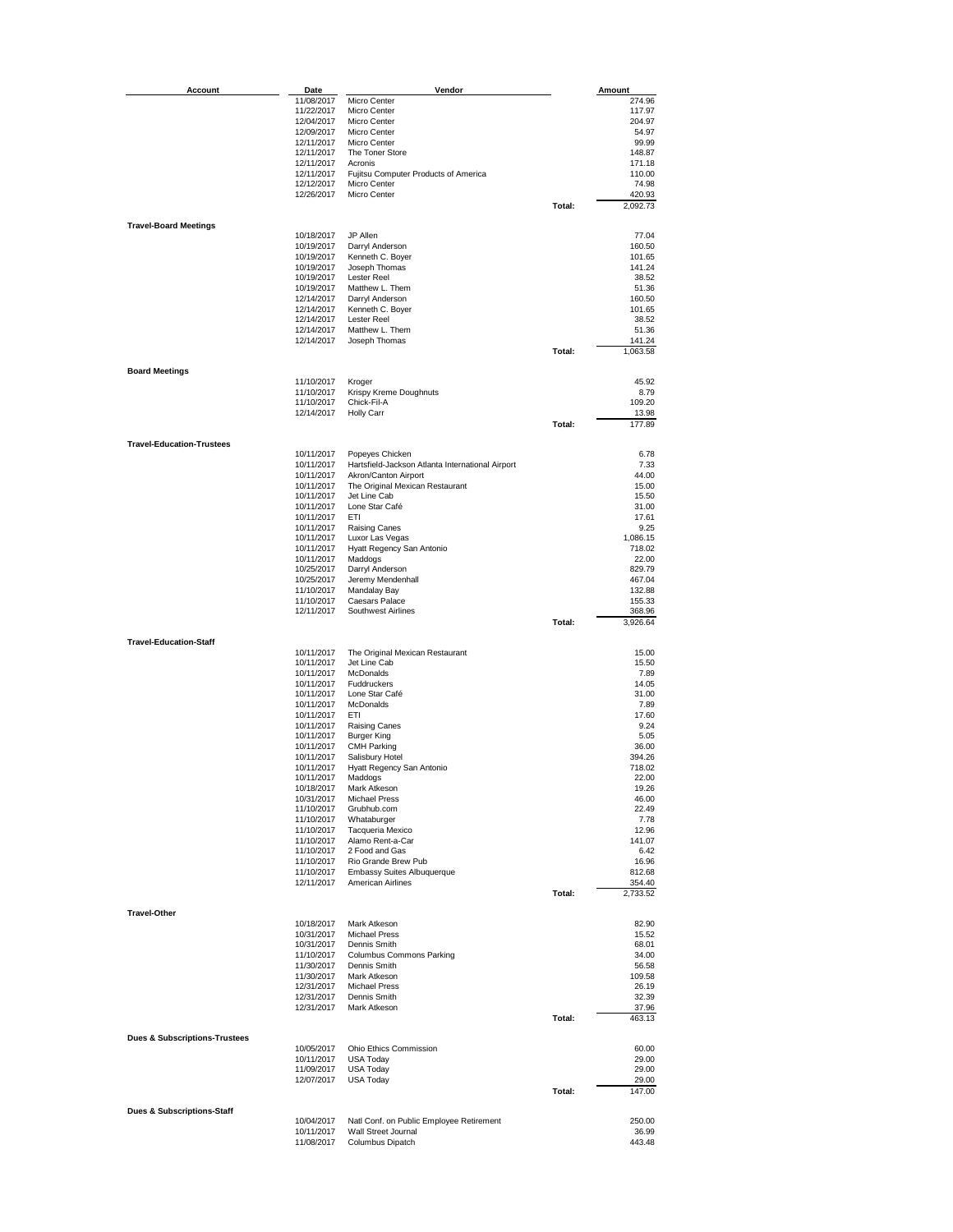| Account                                  | Date                     | Vendor                                                  |        | Amount           |
|------------------------------------------|--------------------------|---------------------------------------------------------|--------|------------------|
|                                          | 11/08/2017               | Micro Center                                            |        | 274.96           |
|                                          | 11/22/2017               | Micro Center                                            |        | 117.97           |
|                                          | 12/04/2017<br>12/09/2017 | Micro Center<br>Micro Center                            |        | 204.97<br>54.97  |
|                                          | 12/11/2017               | Micro Center                                            |        | 99.99            |
|                                          | 12/11/2017               | The Toner Store                                         |        | 148.87           |
|                                          | 12/11/2017               | Acronis                                                 |        | 171.18           |
|                                          | 12/11/2017               | Fujitsu Computer Products of America                    |        | 110.00<br>74.98  |
|                                          | 12/12/2017<br>12/26/2017 | Micro Center<br>Micro Center                            |        | 420.93           |
|                                          |                          |                                                         | Total: | 2,092.73         |
|                                          |                          |                                                         |        |                  |
| <b>Travel-Board Meetings</b>             |                          |                                                         |        |                  |
|                                          | 10/18/2017<br>10/19/2017 | JP Allen<br>Darryl Anderson                             |        | 77.04<br>160.50  |
|                                          | 10/19/2017               | Kenneth C. Boyer                                        |        | 101.65           |
|                                          | 10/19/2017               | Joseph Thomas                                           |        | 141.24           |
|                                          | 10/19/2017               | Lester Reel                                             |        | 38.52            |
|                                          | 10/19/2017               | Matthew L. Them                                         |        | 51.36            |
|                                          | 12/14/2017<br>12/14/2017 | Darryl Anderson<br>Kenneth C. Boyer                     |        | 160.50<br>101.65 |
|                                          | 12/14/2017               | <b>Lester Reel</b>                                      |        | 38.52            |
|                                          | 12/14/2017               | Matthew L. Them                                         |        | 51.36            |
|                                          | 12/14/2017               | Joseph Thomas                                           |        | 141.24           |
|                                          |                          |                                                         | Total: | 1,063.58         |
| <b>Board Meetings</b>                    |                          |                                                         |        |                  |
|                                          | 11/10/2017               | Kroger                                                  |        | 45.92            |
|                                          | 11/10/2017               | Krispy Kreme Doughnuts                                  |        | 8.79             |
|                                          | 11/10/2017               | Chick-Fil-A                                             |        | 109.20           |
|                                          | 12/14/2017               | <b>Holly Carr</b>                                       | Total: | 13.98<br>177.89  |
|                                          |                          |                                                         |        |                  |
| <b>Travel-Education-Trustees</b>         |                          |                                                         |        |                  |
|                                          | 10/11/2017               | Popeyes Chicken                                         |        | 6.78             |
|                                          | 10/11/2017               | Hartsfield-Jackson Atlanta International Airport        |        | 7.33             |
|                                          | 10/11/2017<br>10/11/2017 | Akron/Canton Airport<br>The Original Mexican Restaurant |        | 44.00<br>15.00   |
|                                          | 10/11/2017               | Jet Line Cab                                            |        | 15.50            |
|                                          | 10/11/2017               | Lone Star Café                                          |        | 31.00            |
|                                          | 10/11/2017               | ETI                                                     |        | 17.61            |
|                                          | 10/11/2017<br>10/11/2017 | <b>Raising Canes</b>                                    |        | 9.25<br>1,086.15 |
|                                          | 10/11/2017               | Luxor Las Vegas<br>Hyatt Regency San Antonio            |        | 718.02           |
|                                          | 10/11/2017               | Maddogs                                                 |        | 22.00            |
|                                          | 10/25/2017               | Darryl Anderson                                         |        | 829.79           |
|                                          | 10/25/2017               | Jeremy Mendenhall                                       |        | 467.04           |
|                                          | 11/10/2017<br>11/10/2017 | Mandalay Bay<br>Caesars Palace                          |        | 132.88<br>155.33 |
|                                          | 12/11/2017               | Southwest Airlines                                      |        | 368.96           |
|                                          |                          |                                                         | Total: | 3,926.64         |
|                                          |                          |                                                         |        |                  |
| <b>Travel-Education-Staff</b>            |                          |                                                         |        | 15.00            |
|                                          | 10/11/2017<br>10/11/2017 | The Original Mexican Restaurant<br>Jet Line Cab         |        | 15.50            |
|                                          | 10/11/2017               | McDonalds                                               |        | 7.89             |
|                                          | 10/11/2017               | Fuddruckers                                             |        | 14.05            |
|                                          | 10/11/2017               | Lone Star Café                                          |        | 31.00            |
|                                          | 10/11/2017<br>10/11/2017 | McDonalds<br>ETI                                        |        | 7.89<br>17.60    |
|                                          | 10/11/2017               | <b>Raising Canes</b>                                    |        | 9.24             |
|                                          | 10/11/2017               | <b>Burger King</b>                                      |        | 5.05             |
|                                          | 10/11/2017               | <b>CMH Parking</b>                                      |        | 36.00            |
|                                          | 10/11/2017               | Salisbury Hotel                                         |        | 394.26           |
|                                          | 10/11/2017<br>10/11/2017 | Hyatt Regency San Antonio<br>Maddogs                    |        | 718.02<br>22.00  |
|                                          | 10/18/2017               | Mark Atkeson                                            |        | 19.26            |
|                                          | 10/31/2017               | <b>Michael Press</b>                                    |        | 46.00            |
|                                          | 11/10/2017               | Grubhub.com                                             |        | 22.49            |
|                                          | 11/10/2017               | Whataburger                                             |        | 7.78             |
|                                          | 11/10/2017<br>11/10/2017 | Tacqueria Mexico<br>Alamo Rent-a-Car                    |        | 12.96<br>141.07  |
|                                          | 11/10/2017               | 2 Food and Gas                                          |        | 6.42             |
|                                          | 11/10/2017               | Rio Grande Brew Pub                                     |        | 16.96            |
|                                          | 11/10/2017               | Embassy Suites Albuquerque                              |        | 812.68           |
|                                          | 12/11/2017               | <b>American Airlines</b>                                |        | 354.40           |
|                                          |                          |                                                         | Total: | 2,733.52         |
| <b>Travel-Other</b>                      |                          |                                                         |        |                  |
|                                          | 10/18/2017               | Mark Atkeson                                            |        | 82.90            |
|                                          | 10/31/2017               | <b>Michael Press</b><br>Dennis Smith                    |        | 15.52            |
|                                          | 10/31/2017<br>11/10/2017 | <b>Columbus Commons Parking</b>                         |        | 68.01<br>34.00   |
|                                          | 11/30/2017               | Dennis Smith                                            |        | 56.58            |
|                                          | 11/30/2017               | Mark Atkeson                                            |        | 109.58           |
|                                          | 12/31/2017               | <b>Michael Press</b>                                    |        | 26.19            |
|                                          | 12/31/2017<br>12/31/2017 | Dennis Smith<br>Mark Atkeson                            |        | 32.39<br>37.96   |
|                                          |                          |                                                         | Total: | 463.13           |
|                                          |                          |                                                         |        |                  |
| <b>Dues &amp; Subscriptions Trustees</b> |                          |                                                         |        |                  |
|                                          | 10/05/2017               | Ohio Ethics Commission                                  |        | 60.00            |
|                                          | 10/11/2017<br>11/09/2017 | <b>USA Today</b><br>USA Today                           |        | 29.00<br>29.00   |
|                                          | 12/07/2017               | <b>USA Today</b>                                        |        | 29.00            |
|                                          |                          |                                                         | Total: | 147.00           |
|                                          |                          |                                                         |        |                  |
| Dues & Subscriptions-Staff               | 10/04/2017               | Natl Conf. on Public Employee Retirement                |        | 250.00           |
|                                          | 10/11/2017               | Wall Street Journal                                     |        | 36.99            |
|                                          | 11/08/2017               | Columbus Dipatch                                        |        | 443.48           |